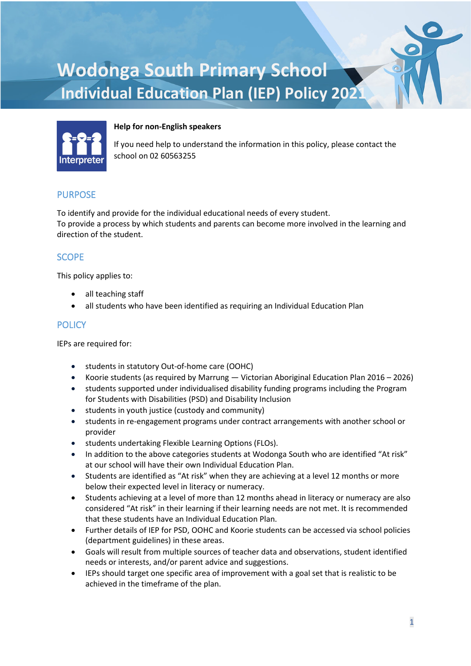# **Wodonga South Primary School Individual Education Plan (IEP) Policy 2021**



#### **Help for non-English speakers**

If you need help to understand the information in this policy, please contact the school on 02 60563255

## PURPOSE

To identify and provide for the individual educational needs of every student. To provide a process by which students and parents can become more involved in the learning and direction of the student.

## **SCOPE**

This policy applies to:

- all teaching staff
- all students who have been identified as requiring an Individual Education Plan

#### **POLICY**

IEPs are required for:

- students in statutory Out-of-home care (OOHC)
- Koorie students (as required by Marrung [Victorian Aboriginal Education Plan 2016 –](https://www.education.vic.gov.au/about/programs/Pages/marrung.aspx) 2026)
- students supported under individualised disability funding programs including the [Program](https://www.education.vic.gov.au/school/teachers/learningneeds/Pages/psd.aspx)  [for Students with Disabilities](https://www.education.vic.gov.au/school/teachers/learningneeds/Pages/psd.aspx) (PSD) an[d Disability Inclusion](https://www.education.vic.gov.au/school/teachers/learningneeds/Pages/disability-inclusion.aspx)
- students in youth justice (custody and community)
- students in re-engagement programs unde[r contract arrangements](https://www2.education.vic.gov.au/pal/re-engagement-programs/guidance/contract-arrangements) with another school or provider
- students undertaking [Flexible Learning Options \(FLOs\).](https://www2.education.vic.gov.au/pal/flexible-learning-options-flos/policy)
- In addition to the above categories students at Wodonga South who are identified "At risk" at our school will have their own Individual Education Plan.
- Students are identified as "At risk" when they are achieving at a level 12 months or more below their expected level in literacy or numeracy.
- Students achieving at a level of more than 12 months ahead in literacy or numeracy are also considered "At risk" in their learning if their learning needs are not met. It is recommended that these students have an Individual Education Plan.
- Further details of IEP for PSD, OOHC and Koorie students can be accessed via school policies (department guidelines) in these areas.
- Goals will result from multiple sources of teacher data and observations, student identified needs or interests, and/or parent advice and suggestions.
- IEPs should target one specific area of improvement with a goal set that is realistic to be achieved in the timeframe of the plan.